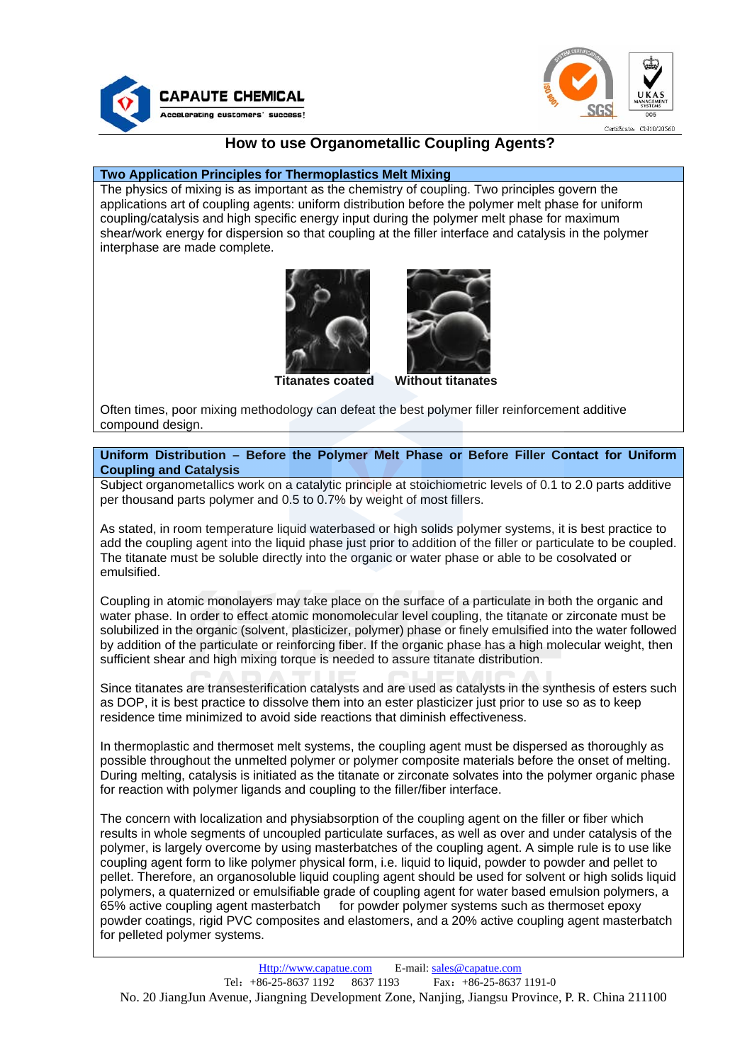



# **How to use Organometallic Coupling Agents?**

# **Two Application Principles for Thermoplastics Melt Mixing**

The physics of mixing is as important as the chemistry of coupling. Two principles govern the applications art of coupling agents: uniform distribution before the polymer melt phase for uniform coupling/catalysis and high specific energy input during the polymer melt phase for maximum shear/work energy for dispersion so that coupling at the filler interface and catalysis in the polymer interphase are made complete.



**Titanates coated Without titanates** 

Often times, poor mixing methodology can defeat the best polymer filler reinforcement additive compound design.

**Uniform Distribution – Before the Polymer Melt Phase or Before Filler Contact for Uniform Coupling and Catalysis**

Subject organometallics work on a catalytic principle at stoichiometric levels of 0.1 to 2.0 parts additive per thousand parts polymer and 0.5 to 0.7% by weight of most fillers.

As stated, in room temperature liquid waterbased or high solids polymer systems, it is best practice to add the coupling agent into the liquid phase just prior to addition of the filler or particulate to be coupled. The titanate must be soluble directly into the organic or water phase or able to be cosolvated or emulsified.

Coupling in atomic monolayers may take place on the surface of a particulate in both the organic and water phase. In order to effect atomic monomolecular level coupling, the titanate or zirconate must be solubilized in the organic (solvent, plasticizer, polymer) phase or finely emulsified into the water followed by addition of the particulate or reinforcing fiber. If the organic phase has a high molecular weight, then sufficient shear and high mixing torque is needed to assure titanate distribution.

Since titanates are transesterification catalysts and are used as catalysts in the synthesis of esters such as DOP, it is best practice to dissolve them into an ester plasticizer just prior to use so as to keep residence time minimized to avoid side reactions that diminish effectiveness.

In thermoplastic and thermoset melt systems, the coupling agent must be dispersed as thoroughly as possible throughout the unmelted polymer or polymer composite materials before the onset of melting. During melting, catalysis is initiated as the titanate or zirconate solvates into the polymer organic phase for reaction with polymer ligands and coupling to the filler/fiber interface.

The concern with localization and physiabsorption of the coupling agent on the filler or fiber which results in whole segments of uncoupled particulate surfaces, as well as over and under catalysis of the polymer, is largely overcome by using masterbatches of the coupling agent. A simple rule is to use like coupling agent form to like polymer physical form, i.e. liquid to liquid, powder to powder and pellet to pellet. Therefore, an organosoluble liquid coupling agent should be used for solvent or high solids liquid polymers, a quaternized or emulsifiable grade of coupling agent for water based emulsion polymers, a 65% active coupling agent masterbatch for powder polymer systems such as thermoset epoxy powder coatings, rigid PVC composites and elastomers, and a 20% active coupling agent masterbatch for pelleted polymer systems.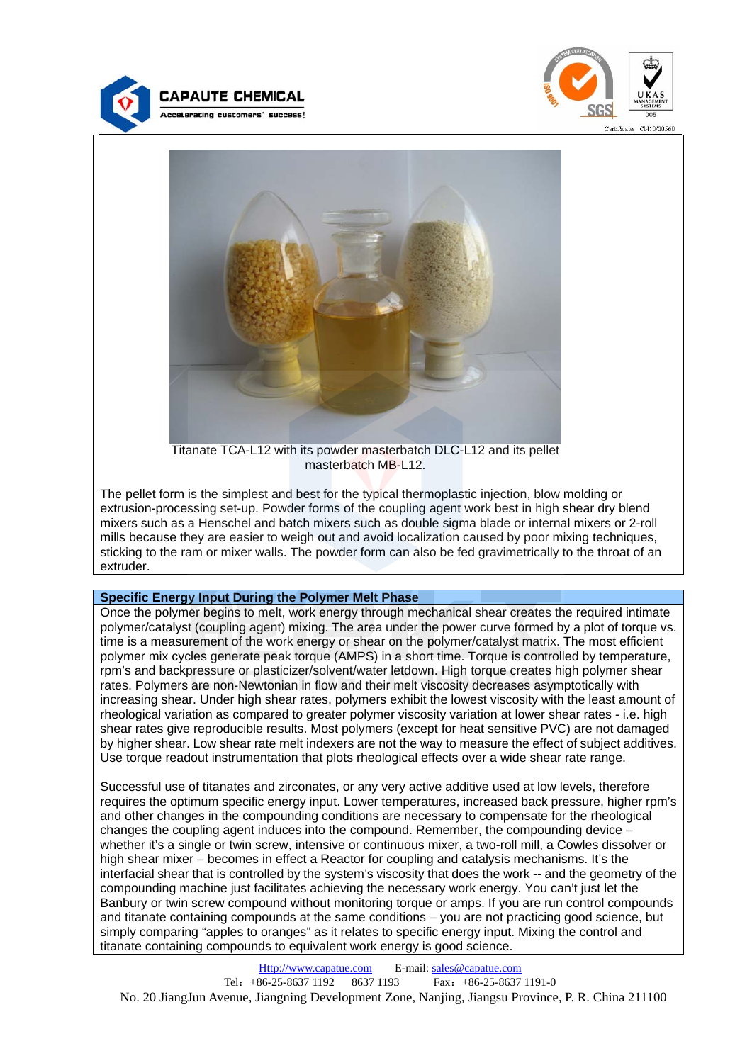





Titanate TCA-L12 with its powder masterbatch DLC-L12 and its pellet masterbatch MB-L12.

The pellet form is the simplest and best for the typical thermoplastic injection, blow molding or extrusion-processing set-up. Powder forms of the coupling agent work best in high shear dry blend mixers such as a Henschel and batch mixers such as double sigma blade or internal mixers or 2-roll mills because they are easier to weigh out and avoid localization caused by poor mixing techniques, sticking to the ram or mixer walls. The powder form can also be fed gravimetrically to the throat of an extruder.

## **Specific Energy Input During the Polymer Melt Phase**

Once the polymer begins to melt, work energy through mechanical shear creates the required intimate polymer/catalyst (coupling agent) mixing. The area under the power curve formed by a plot of torque vs. time is a measurement of the work energy or shear on the polymer/catalyst matrix. The most efficient polymer mix cycles generate peak torque (AMPS) in a short time. Torque is controlled by temperature, rpm's and backpressure or plasticizer/solvent/water letdown. High torque creates high polymer shear rates. Polymers are non-Newtonian in flow and their melt viscosity decreases asymptotically with increasing shear. Under high shear rates, polymers exhibit the lowest viscosity with the least amount of rheological variation as compared to greater polymer viscosity variation at lower shear rates - i.e. high shear rates give reproducible results. Most polymers (except for heat sensitive PVC) are not damaged by higher shear. Low shear rate melt indexers are not the way to measure the effect of subject additives. Use torque readout instrumentation that plots rheological effects over a wide shear rate range.

Successful use of titanates and zirconates, or any very active additive used at low levels, therefore requires the optimum specific energy input. Lower temperatures, increased back pressure, higher rpm's and other changes in the compounding conditions are necessary to compensate for the rheological changes the coupling agent induces into the compound. Remember, the compounding device – whether it's a single or twin screw, intensive or continuous mixer, a two-roll mill, a Cowles dissolver or high shear mixer – becomes in effect a Reactor for coupling and catalysis mechanisms. It's the interfacial shear that is controlled by the system's viscosity that does the work -- and the geometry of the compounding machine just facilitates achieving the necessary work energy. You can't just let the Banbury or twin screw compound without monitoring torque or amps. If you are run control compounds and titanate containing compounds at the same conditions – you are not practicing good science, but simply comparing "apples to oranges" as it relates to specific energy input. Mixing the control and titanate containing compounds to equivalent work energy is good science.

Http://www.capatue.com E-mail: sales@capatue.com Tel:+86-25-8637 1192 8637 1193 Fax:+86-25-8637 1191-0 No. 20 JiangJun Avenue, Jiangning Development Zone, Nanjing, Jiangsu Province, P. R. China 211100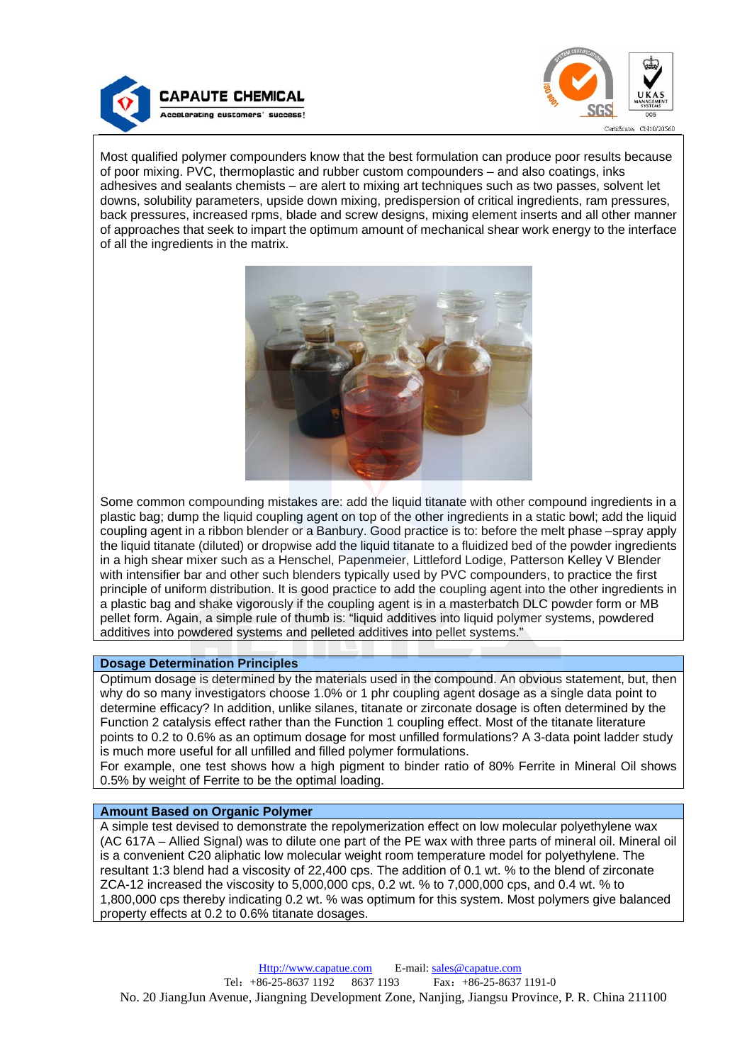



Most qualified polymer compounders know that the best formulation can produce poor results because of poor mixing. PVC, thermoplastic and rubber custom compounders – and also coatings, inks adhesives and sealants chemists – are alert to mixing art techniques such as two passes, solvent let downs, solubility parameters, upside down mixing, predispersion of critical ingredients, ram pressures, back pressures, increased rpms, blade and screw designs, mixing element inserts and all other manner of approaches that seek to impart the optimum amount of mechanical shear work energy to the interface of all the ingredients in the matrix.



Some common compounding mistakes are: add the liquid titanate with other compound ingredients in a plastic bag; dump the liquid coupling agent on top of the other ingredients in a static bowl; add the liquid coupling agent in a ribbon blender or a Banbury. Good practice is to: before the melt phase –spray apply the liquid titanate (diluted) or dropwise add the liquid titanate to a fluidized bed of the powder ingredients in a high shear mixer such as a Henschel, Papenmeier, Littleford Lodige, Patterson Kelley V Blender with intensifier bar and other such blenders typically used by PVC compounders, to practice the first principle of uniform distribution. It is good practice to add the coupling agent into the other ingredients in a plastic bag and shake vigorously if the coupling agent is in a masterbatch DLC powder form or MB pellet form. Again, a simple rule of thumb is: "liquid additives into liquid polymer systems, powdered additives into powdered systems and pelleted additives into pellet systems."

# **Dosage Determination Principles**

Optimum dosage is determined by the materials used in the compound. An obvious statement, but, then why do so many investigators choose 1.0% or 1 phr coupling agent dosage as a single data point to determine efficacy? In addition, unlike silanes, titanate or zirconate dosage is often determined by the Function 2 catalysis effect rather than the Function 1 coupling effect. Most of the titanate literature points to 0.2 to 0.6% as an optimum dosage for most unfilled formulations? A 3-data point ladder study is much more useful for all unfilled and filled polymer formulations.

For example, one test shows how a high pigment to binder ratio of 80% Ferrite in Mineral Oil shows 0.5% by weight of Ferrite to be the optimal loading.

## **Amount Based on Organic Polymer**

A simple test devised to demonstrate the repolymerization effect on low molecular polyethylene wax (AC 617A – Allied Signal) was to dilute one part of the PE wax with three parts of mineral oil. Mineral oil is a convenient C20 aliphatic low molecular weight room temperature model for polyethylene. The resultant 1:3 blend had a viscosity of 22,400 cps. The addition of 0.1 wt. % to the blend of zirconate ZCA-12 increased the viscosity to 5,000,000 cps, 0.2 wt. % to 7,000,000 cps, and 0.4 wt. % to 1,800,000 cps thereby indicating 0.2 wt. % was optimum for this system. Most polymers give balanced property effects at 0.2 to 0.6% titanate dosages.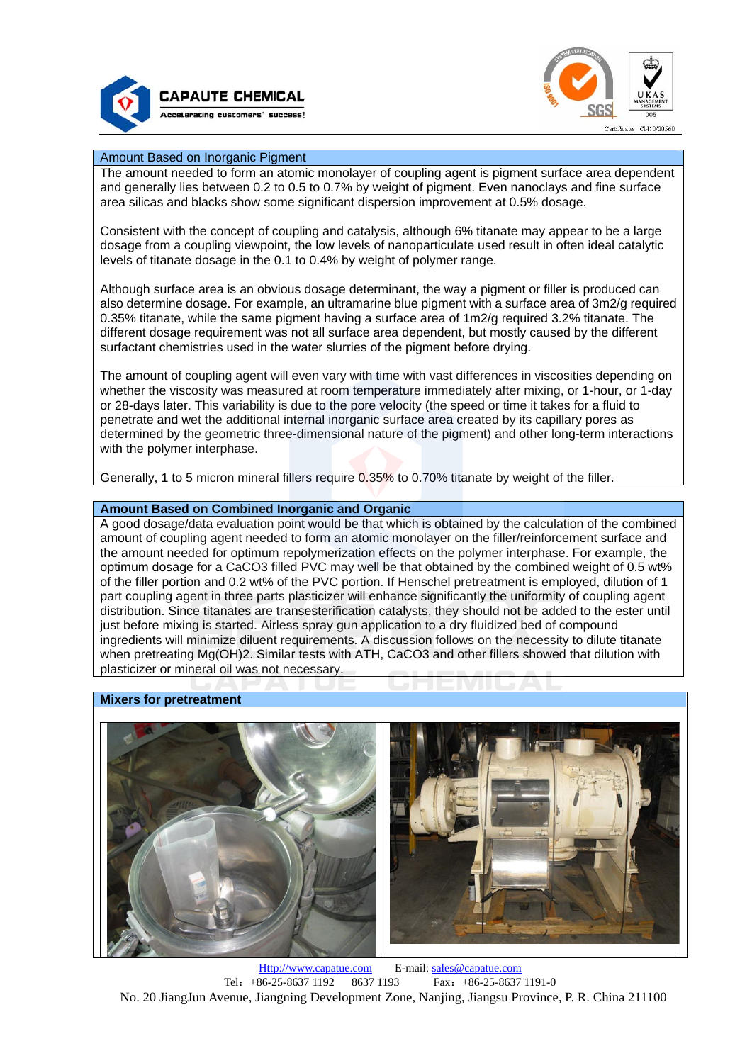



#### Amount Based on Inorganic Pigment

The amount needed to form an atomic monolayer of coupling agent is pigment surface area dependent and generally lies between 0.2 to 0.5 to 0.7% by weight of pigment. Even nanoclays and fine surface area silicas and blacks show some significant dispersion improvement at 0.5% dosage.

Consistent with the concept of coupling and catalysis, although 6% titanate may appear to be a large dosage from a coupling viewpoint, the low levels of nanoparticulate used result in often ideal catalytic levels of titanate dosage in the 0.1 to 0.4% by weight of polymer range.

Although surface area is an obvious dosage determinant, the way a pigment or filler is produced can also determine dosage. For example, an ultramarine blue pigment with a surface area of 3m2/g required 0.35% titanate, while the same pigment having a surface area of 1m2/g required 3.2% titanate. The different dosage requirement was not all surface area dependent, but mostly caused by the different surfactant chemistries used in the water slurries of the pigment before drying.

The amount of coupling agent will even vary with time with vast differences in viscosities depending on whether the viscosity was measured at room temperature immediately after mixing, or 1-hour, or 1-day or 28-days later. This variability is due to the pore velocity (the speed or time it takes for a fluid to penetrate and wet the additional internal inorganic surface area created by its capillary pores as determined by the geometric three-dimensional nature of the pigment) and other long-term interactions with the polymer interphase.

Generally, 1 to 5 micron mineral fillers require 0.35% to 0.70% titanate by weight of the filler.

#### **Amount Based on Combined Inorganic and Organic**

A good dosage/data evaluation point would be that which is obtained by the calculation of the combined amount of coupling agent needed to form an atomic monolayer on the filler/reinforcement surface and the amount needed for optimum repolymerization effects on the polymer interphase. For example, the optimum dosage for a CaCO3 filled PVC may well be that obtained by the combined weight of 0.5 wt% of the filler portion and 0.2 wt% of the PVC portion. If Henschel pretreatment is employed, dilution of 1 part coupling agent in three parts plasticizer will enhance significantly the uniformity of coupling agent distribution. Since titanates are transesterification catalysts, they should not be added to the ester until just before mixing is started. Airless spray gun application to a dry fluidized bed of compound ingredients will minimize diluent requirements. A discussion follows on the necessity to dilute titanate when pretreating Mg(OH)2. Similar tests with ATH, CaCO3 and other fillers showed that dilution with plasticizer or mineral oil was not necessary.

#### **Mixers for pretreatment**



Http://www.capatue.com E-mail: sales@capatue.com Tel:+86-25-8637 1192 8637 1193 Fax:+86-25-8637 1191-0 No. 20 JiangJun Avenue, Jiangning Development Zone, Nanjing, Jiangsu Province, P. R. China 211100